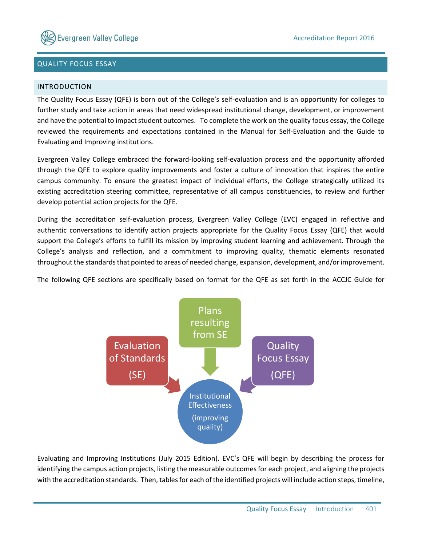

# QUALITY FOCUS ESSAY

## INTRODUCTION

The Quality Focus Essay (QFE) is born out of the College's self-evaluation and is an opportunity for colleges to further study and take action in areas that need widespread institutional change, development, or improvement and have the potential to impact student outcomes. To complete the work on the quality focus essay, the College reviewed the requirements and expectations contained in the Manual for Self-Evaluation and the Guide to Evaluating and Improving institutions.

Evergreen Valley College embraced the forward-looking self-evaluation process and the opportunity afforded through the QFE to explore quality improvements and foster a culture of innovation that inspires the entire campus community. To ensure the greatest impact of individual efforts, the College strategically utilized its existing accreditation steering committee, representative of all campus constituencies, to review and further develop potential action projects for the QFE.

During the accreditation self-evaluation process, Evergreen Valley College (EVC) engaged in reflective and authentic conversations to identify action projects appropriate for the Quality Focus Essay (QFE) that would support the College's efforts to fulfill its mission by improving student learning and achievement. Through the College's analysis and reflection, and a commitment to improving quality, thematic elements resonated throughout the standards that pointed to areas of needed change, expansion, development, and/or improvement.

The following QFE sections are specifically based on format for the QFE as set forth in the ACCJC Guide for



Evaluating and Improving Institutions (July 2015 Edition). EVC's QFE will begin by describing the process for identifying the campus action projects, listing the measurable outcomes for each project, and aligning the projects with the accreditation standards. Then, tables for each of the identified projects will include action steps, timeline,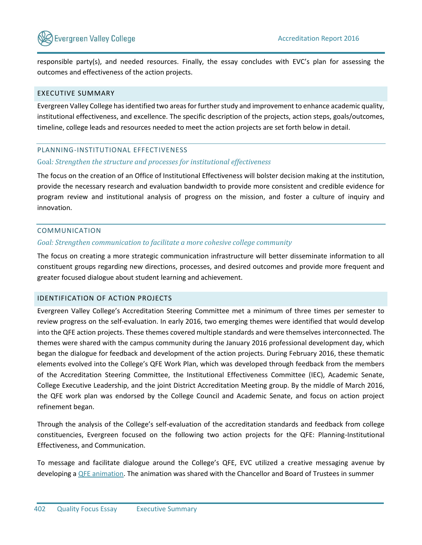

responsible party(s), and needed resources. Finally, the essay concludes with EVC's plan for assessing the outcomes and effectiveness of the action projects.

# EXECUTIVE SUMMARY

Evergreen Valley College has identified two areas for further study and improvement to enhance academic quality, institutional effectiveness, and excellence. The specific description of the projects, action steps, goals/outcomes, timeline, college leads and resources needed to meet the action projects are set forth below in detail.

## PLANNING-INSTITUTIONAL EFFECTIVENESS

### Goal*: Strengthen the structure and processes for institutional effectiveness*

The focus on the creation of an Office of Institutional Effectiveness will bolster decision making at the institution, provide the necessary research and evaluation bandwidth to provide more consistent and credible evidence for program review and institutional analysis of progress on the mission, and foster a culture of inquiry and innovation.

## COMMUNICATION

## *Goal: Strengthen communication to facilitate a more cohesive college community*

The focus on creating a more strategic communication infrastructure will better disseminate information to all constituent groups regarding new directions, processes, and desired outcomes and provide more frequent and greater focused dialogue about student learning and achievement.

# IDENTIFICATION OF ACTION PROJECTS

Evergreen Valley College's Accreditation Steering Committee met a minimum of three times per semester to review progress on the self-evaluation. In early 2016, two emerging themes were identified that would develop into the QFE action projects. These themes covered multiple standards and were themselves interconnected. The themes were shared with the campus community during the January 2016 professional development day, which began the dialogue for feedback and development of the action projects. During February 2016, these thematic elements evolved into the College's QFE Work Plan, which was developed through feedback from the members of the Accreditation Steering Committee, the Institutional Effectiveness Committee (IEC), Academic Senate, College Executive Leadership, and the joint District Accreditation Meeting group. By the middle of March 2016, the QFE work plan was endorsed by the College Council and Academic Senate, and focus on action project refinement began.

Through the analysis of the College's self-evaluation of the accreditation standards and feedback from college constituencies, Evergreen focused on the following two action projects for the QFE: Planning-Institutional Effectiveness, and Communication.

To message and facilitate dialogue around the College's QFE, EVC utilized a creative messaging avenue by developing [a QFE animation.](http://www.evc.edu/discover-evc/accreditation/2016-quality-focus-essay-(qfe)) The animation was shared with the Chancellor and Board of Trustees in summer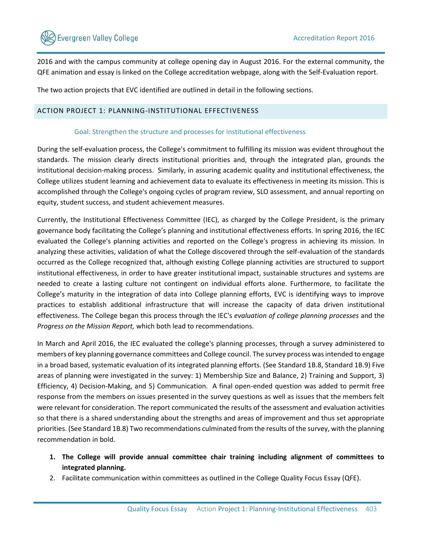

2016 and with the campus community at college opening day in August 2016. For the external community, the QFE animation and essay is linked on the College accreditation webpage, along with the Self-Evaluation report.

The two action projects that EVC identified are outlined in detail in the following sections.

# ACTION PROJECT 1: PLANNING-INSTITUTIONAL EFFECTIVENESS

## Goal: Strengthen the structure and processes for institutional effectiveness

During the self-evaluation process, the College's commitment to fulfilling its mission was evident throughout the standards. The mission clearly directs institutional priorities and, through the integrated plan, grounds the institutional decision-making process. Similarly, in assuring academic quality and institutional effectiveness, the College utilizes student learning and achievement data to evaluate its effectiveness in meeting its mission. This is accomplished through the College's ongoing cycles of program review, SLO assessment, and annual reporting on equity, student success, and student achievement measures.

Currently, the Institutional Effectiveness Committee (IEC), as charged by the College President, is the primary governance body facilitating the College's planning and institutional effectiveness efforts. In spring 2016, the IEC evaluated the College's planning activities and reported on the College's progress in achieving its mission. In analyzing these activities, validation of what the College discovered through the self-evaluation of the standards occurred as the College recognized that, although existing College planning activities are structured to support institutional effectiveness, in order to have greater institutional impact, sustainable structures and systems are needed to create a lasting culture not contingent on individual efforts alone. Furthermore, to facilitate the College's maturity in the integration of data into College planning efforts, EVC is identifying ways to improve practices to establish additional infrastructure that will increase the capacity of data driven institutional effectiveness. The College began this process through the IEC's *evaluation of college planning processes* and the *Progress on the Mission Report,* which both lead to recommendations.

In March and April 2016, the IEC evaluated the college's planning processes, through a survey administered to members of key planning governance committees and College council. The survey process was intended to engage in a broad based, systematic evaluation of its integrated planning efforts. (See Standard 1B.8, Standard 1B.9) Five areas of planning were investigated in the survey: 1) Membership Size and Balance, 2) Training and Support, 3) Efficiency, 4) Decision-Making, and 5) Communication. A final open-ended question was added to permit free response from the members on issues presented in the survey questions as well as issues that the members felt were relevant for consideration. The report communicated the results of the assessment and evaluation activities so that there is a shared understanding about the strengths and areas of improvement and thus set appropriate priorities. (See Standard 1B.8) Two recommendations culminated from the results of the survey, with the planning recommendation in bold.

- **1. The College will provide annual committee chair training including alignment of committees to integrated planning.**
- 2. Facilitate communication within committees as outlined in the College Quality Focus Essay (QFE).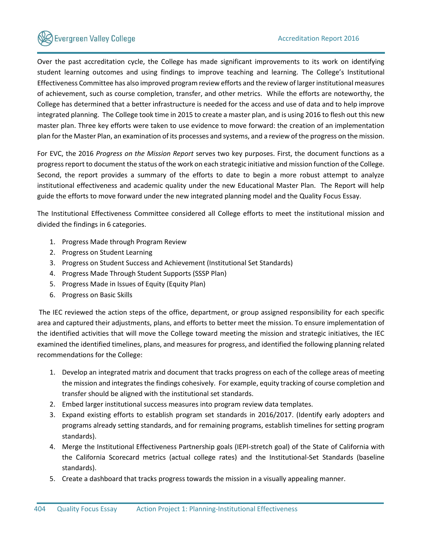Over the past accreditation cycle, the College has made significant improvements to its work on identifying student learning outcomes and using findings to improve teaching and learning. The College's Institutional Effectiveness Committee has also improved program review efforts and the review of larger institutional measures of achievement, such as course completion, transfer, and other metrics. While the efforts are noteworthy, the College has determined that a better infrastructure is needed for the access and use of data and to help improve integrated planning. The College took time in 2015 to create a master plan, and is using 2016 to flesh out this new master plan. Three key efforts were taken to use evidence to move forward: the creation of an implementation plan for the Master Plan, an examination of its processes and systems, and a review of the progress on the mission.

For EVC, the 2016 *Progress on the Mission Report* serves two key purposes. First, the document functions as a progress report to document the status of the work on each strategic initiative and mission function of the College. Second, the report provides a summary of the efforts to date to begin a more robust attempt to analyze institutional effectiveness and academic quality under the new Educational Master Plan. The Report will help guide the efforts to move forward under the new integrated planning model and the Quality Focus Essay.

The Institutional Effectiveness Committee considered all College efforts to meet the institutional mission and divided the findings in 6 categories.

- 1. Progress Made through Program Review
- 2. Progress on Student Learning
- 3. Progress on Student Success and Achievement (Institutional Set Standards)
- 4. Progress Made Through Student Supports (SSSP Plan)
- 5. Progress Made in Issues of Equity (Equity Plan)
- 6. Progress on Basic Skills

The IEC reviewed the action steps of the office, department, or group assigned responsibility for each specific area and captured their adjustments, plans, and efforts to better meet the mission. To ensure implementation of the identified activities that will move the College toward meeting the mission and strategic initiatives, the IEC examined the identified timelines, plans, and measures for progress, and identified the following planning related recommendations for the College:

- 1. Develop an integrated matrix and document that tracks progress on each of the college areas of meeting the mission and integrates the findings cohesively. For example, equity tracking of course completion and transfer should be aligned with the institutional set standards.
- 2. Embed larger institutional success measures into program review data templates.
- 3. Expand existing efforts to establish program set standards in 2016/2017. (Identify early adopters and programs already setting standards, and for remaining programs, establish timelines for setting program standards).
- 4. Merge the Institutional Effectiveness Partnership goals (IEPI-stretch goal) of the State of California with the California Scorecard metrics (actual college rates) and the Institutional-Set Standards (baseline standards).
- 5. Create a dashboard that tracks progress towards the mission in a visually appealing manner.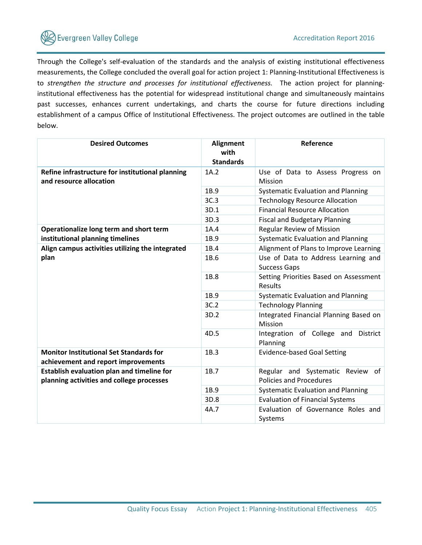

Through the College's self-evaluation of the standards and the analysis of existing institutional effectiveness measurements, the College concluded the overall goal for action project 1: Planning-Institutional Effectiveness is to *strengthen the structure and processes for institutional effectiveness.* The action project for planninginstitutional effectiveness has the potential for widespread institutional change and simultaneously maintains past successes, enhances current undertakings, and charts the course for future directions including establishment of a campus Office of Institutional Effectiveness. The project outcomes are outlined in the table below.

| <b>Desired Outcomes</b>                          | <b>Alignment</b> | Reference                                 |  |  |
|--------------------------------------------------|------------------|-------------------------------------------|--|--|
|                                                  | with             |                                           |  |  |
|                                                  | <b>Standards</b> |                                           |  |  |
| Refine infrastructure for institutional planning | 1A.2             | Use of Data to Assess Progress on         |  |  |
| and resource allocation                          |                  | Mission                                   |  |  |
|                                                  | 1B.9             | <b>Systematic Evaluation and Planning</b> |  |  |
|                                                  | 3C.3             | <b>Technology Resource Allocation</b>     |  |  |
|                                                  | 3D.1             | <b>Financial Resource Allocation</b>      |  |  |
|                                                  | 3D.3             | <b>Fiscal and Budgetary Planning</b>      |  |  |
| Operationalize long term and short term          | 1A.4             | <b>Regular Review of Mission</b>          |  |  |
| institutional planning timelines                 | 1B.9             | <b>Systematic Evaluation and Planning</b> |  |  |
| Align campus activities utilizing the integrated | 1B.4             | Alignment of Plans to Improve Learning    |  |  |
| plan                                             | 1B.6             | Use of Data to Address Learning and       |  |  |
|                                                  |                  | <b>Success Gaps</b>                       |  |  |
|                                                  | 1B.8             | Setting Priorities Based on Assessment    |  |  |
|                                                  |                  | Results                                   |  |  |
|                                                  | 1B.9             | <b>Systematic Evaluation and Planning</b> |  |  |
|                                                  | 3C.2             | <b>Technology Planning</b>                |  |  |
|                                                  | 3D.2             | Integrated Financial Planning Based on    |  |  |
|                                                  |                  | Mission                                   |  |  |
|                                                  | 4D.5             | Integration of College and District       |  |  |
|                                                  |                  | Planning                                  |  |  |
| <b>Monitor Institutional Set Standards for</b>   | 1B.3             | <b>Evidence-based Goal Setting</b>        |  |  |
| achievement and report improvements              |                  |                                           |  |  |
| Establish evaluation plan and timeline for       | 1B.7             | Regular and Systematic Review<br>of       |  |  |
| planning activities and college processes        |                  | <b>Policies and Procedures</b>            |  |  |
|                                                  | 1B.9             | <b>Systematic Evaluation and Planning</b> |  |  |
|                                                  | 3D.8             | <b>Evaluation of Financial Systems</b>    |  |  |
|                                                  | 4A.7             | Evaluation of Governance Roles and        |  |  |
|                                                  |                  | Systems                                   |  |  |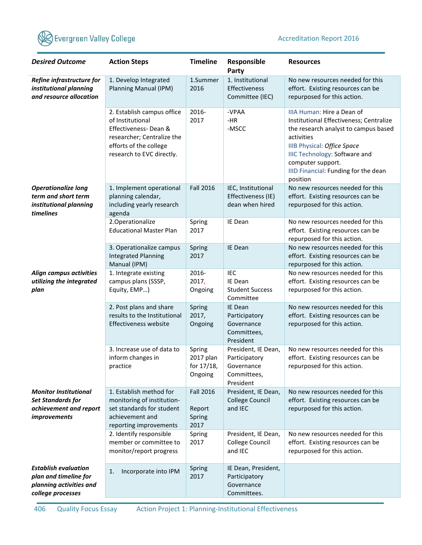

| <b>Desired Outcome</b>                                                                               | <b>Action Steps</b>                                                                                                                                         | <b>Timeline</b>                              | Responsible<br>Party                                                           | <b>Resources</b>                                                                                                                                                                                                                                                            |
|------------------------------------------------------------------------------------------------------|-------------------------------------------------------------------------------------------------------------------------------------------------------------|----------------------------------------------|--------------------------------------------------------------------------------|-----------------------------------------------------------------------------------------------------------------------------------------------------------------------------------------------------------------------------------------------------------------------------|
| Refine infrastructure for<br>institutional planning<br>and resource allocation                       | 1. Develop Integrated<br>Planning Manual (IPM)                                                                                                              | 1.Summer<br>2016                             | 1. Institutional<br>Effectiveness<br>Committee (IEC)                           | No new resources needed for this<br>effort. Existing resources can be<br>repurposed for this action.                                                                                                                                                                        |
|                                                                                                      | 2. Establish campus office<br>of Institutional<br>Effectiveness-Dean &<br>researcher; Centralize the<br>efforts of the college<br>research to EVC directly. | 2016-<br>2017                                | -VPAA<br>$-HR$<br>-MSCC                                                        | IIIA Human: Hire a Dean of<br>Institutional Effectiveness; Centralize<br>the research analyst to campus based<br>activities<br>IIIB Physical: Office Space<br><b>IIIC Technology: Software and</b><br>computer support.<br>IIID Financial: Funding for the dean<br>position |
| <b>Operationalize long</b><br>term and short term<br>institutional planning<br>timelines             | 1. Implement operational<br>planning calendar,<br>including yearly research<br>agenda                                                                       | <b>Fall 2016</b>                             | IEC, Institutional<br>Effectiveness (IE)<br>dean when hired                    | No new resources needed for this<br>effort. Existing resources can be<br>repurposed for this action.                                                                                                                                                                        |
|                                                                                                      | 2. Operationalize<br><b>Educational Master Plan</b>                                                                                                         | Spring<br>2017                               | IE Dean                                                                        | No new resources needed for this<br>effort. Existing resources can be<br>repurposed for this action.                                                                                                                                                                        |
|                                                                                                      | 3. Operationalize campus<br><b>Integrated Planning</b><br>Manual (IPM)                                                                                      | Spring<br>2017                               | IE Dean                                                                        | No new resources needed for this<br>effort. Existing resources can be<br>repurposed for this action.                                                                                                                                                                        |
| Align campus activities<br>utilizing the integrated<br>plan                                          | 1. Integrate existing<br>campus plans (SSSP,<br>Equity, EMP)                                                                                                | 2016-<br>2017,<br>Ongoing                    | <b>IEC</b><br>IE Dean<br><b>Student Success</b><br>Committee                   | No new resources needed for this<br>effort. Existing resources can be<br>repurposed for this action.                                                                                                                                                                        |
|                                                                                                      | 2. Post plans and share<br>results to the Institutional<br>Effectiveness website                                                                            | Spring<br>2017,<br>Ongoing                   | IE Dean<br>Participatory<br>Governance<br>Committees,<br>President             | No new resources needed for this<br>effort. Existing resources can be<br>repurposed for this action.                                                                                                                                                                        |
|                                                                                                      | 3. Increase use of data to<br>inform changes in<br>practice                                                                                                 | Spring<br>2017 plan<br>for 17/18,<br>Ongoing | President, IE Dean,<br>Participatory<br>Governance<br>Committees,<br>President | No new resources needed for this<br>effort. Existing resources can be<br>repurposed for this action.                                                                                                                                                                        |
| <b>Monitor Institutional</b><br><b>Set Standards for</b><br>achievement and report<br>improvements   | 1. Establish method for<br>monitoring of institution-<br>set standards for student<br>achievement and<br>reporting improvements                             | <b>Fall 2016</b><br>Report<br>Spring<br>2017 | President, IE Dean,<br><b>College Council</b><br>and IEC                       | No new resources needed for this<br>effort. Existing resources can be<br>repurposed for this action.                                                                                                                                                                        |
|                                                                                                      | 2. Identify responsible<br>member or committee to<br>monitor/report progress                                                                                | Spring<br>2017                               | President, IE Dean,<br>College Council<br>and IEC                              | No new resources needed for this<br>effort. Existing resources can be<br>repurposed for this action.                                                                                                                                                                        |
| <b>Establish evaluation</b><br>plan and timeline for<br>planning activities and<br>college processes | Incorporate into IPM<br>1.                                                                                                                                  | Spring<br>2017                               | IE Dean, President,<br>Participatory<br>Governance<br>Committees.              |                                                                                                                                                                                                                                                                             |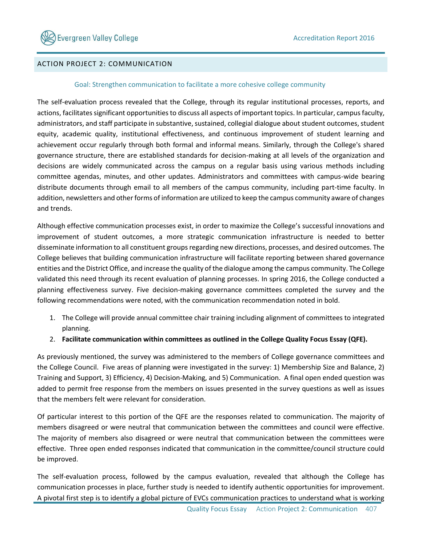# ACTION PROJECT 2: COMMUNICATION

### Goal: Strengthen communication to facilitate a more cohesive college community

The self-evaluation process revealed that the College, through its regular institutional processes, reports, and actions, facilitates significant opportunities to discuss all aspects of important topics. In particular, campus faculty, administrators, and staff participate in substantive, sustained, collegial dialogue about student outcomes, student equity, academic quality, institutional effectiveness, and continuous improvement of student learning and achievement occur regularly through both formal and informal means. Similarly, through the College's shared governance structure, there are established standards for decision-making at all levels of the organization and decisions are widely communicated across the campus on a regular basis using various methods including committee agendas, minutes, and other updates. Administrators and committees with campus-wide bearing distribute documents through email to all members of the campus community, including part-time faculty. In addition, newsletters and other forms of information are utilized to keep the campus community aware of changes and trends.

Although effective communication processes exist, in order to maximize the College's successful innovations and improvement of student outcomes, a more strategic communication infrastructure is needed to better disseminate information to all constituent groups regarding new directions, processes, and desired outcomes. The College believes that building communication infrastructure will facilitate reporting between shared governance entities and the District Office, and increase the quality of the dialogue among the campus community. The College validated this need through its recent evaluation of planning processes. In spring 2016, the College conducted a planning effectiveness survey. Five decision-making governance committees completed the survey and the following recommendations were noted, with the communication recommendation noted in bold.

- 1. The College will provide annual committee chair training including alignment of committees to integrated planning.
- 2. **Facilitate communication within committees as outlined in the College Quality Focus Essay (QFE).**

As previously mentioned, the survey was administered to the members of College governance committees and the College Council. Five areas of planning were investigated in the survey: 1) Membership Size and Balance, 2) Training and Support, 3) Efficiency, 4) Decision-Making, and 5) Communication. A final open ended question was added to permit free response from the members on issues presented in the survey questions as well as issues that the members felt were relevant for consideration.

Of particular interest to this portion of the QFE are the responses related to communication. The majority of members disagreed or were neutral that communication between the committees and council were effective. The majority of members also disagreed or were neutral that communication between the committees were effective. Three open ended responses indicated that communication in the committee/council structure could be improved.

The self-evaluation process, followed by the campus evaluation, revealed that although the College has communication processes in place, further study is needed to identify authentic opportunities for improvement. A pivotal first step is to identify a global picture of EVCs communication practices to understand what is working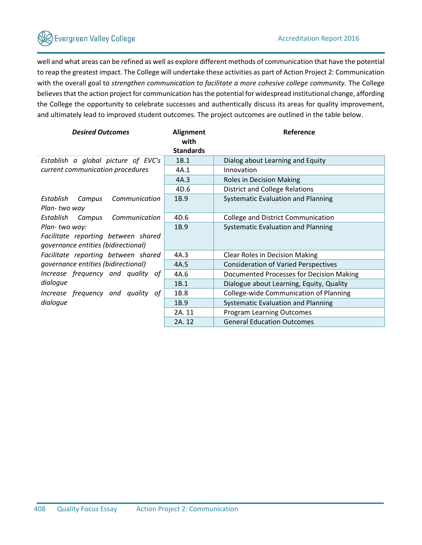# **Severgreen Valley College**

well and what areas can be refined as well as explore different methods of communication that have the potential to reap the greatest impact. The College will undertake these activities as part of Action Project 2: Communication with the overall goal to *strengthen communication to facilitate a more cohesive college community*. The College believes that the action project for communication has the potential for widespread institutional change, affording the College the opportunity to celebrate successes and authentically discuss its areas for quality improvement, and ultimately lead to improved student outcomes. The project outcomes are outlined in the table below.

| <b>Desired Outcomes</b>              | <b>Alignment</b><br>with | Reference                                   |  |
|--------------------------------------|--------------------------|---------------------------------------------|--|
|                                      | <b>Standards</b>         |                                             |  |
| Establish a global picture of EVC's  | 1B.1                     | Dialog about Learning and Equity            |  |
| current communication procedures     | 4A.1                     | Innovation                                  |  |
|                                      | 4A.3                     | Roles in Decision Making                    |  |
|                                      | 4D.6                     | <b>District and College Relations</b>       |  |
| Establish<br>Communication<br>Campus | 1B.9                     | Systematic Evaluation and Planning          |  |
| Plan-two way                         |                          |                                             |  |
| Establish Campus<br>Communication    | 4D.6                     | <b>College and District Communication</b>   |  |
| Plan-two way:                        | 1B.9                     | Systematic Evaluation and Planning          |  |
| Facilitate reporting between shared  |                          |                                             |  |
| governance entities (bidirectional)  |                          |                                             |  |
| Facilitate reporting between shared  | 4A.3                     | <b>Clear Roles in Decision Making</b>       |  |
| governance entities (bidirectional)  | 4A.5                     | <b>Consideration of Varied Perspectives</b> |  |
| Increase frequency and quality of    | 4A.6                     | Documented Processes for Decision Making    |  |
| dialogue                             | 1B.1                     | Dialogue about Learning, Equity, Quality    |  |
| Increase frequency and quality of    | 1B.8                     | College-wide Communication of Planning      |  |
| dialogue                             | 1B.9                     | Systematic Evaluation and Planning          |  |
|                                      | 2A. 11                   | <b>Program Learning Outcomes</b>            |  |
|                                      | 2A. 12                   | <b>General Education Outcomes</b>           |  |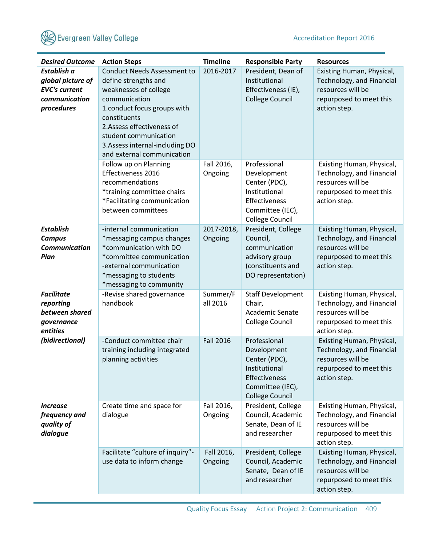

| <b>Desired Outcome</b>                                                                  | <b>Action Steps</b>                                                                                                                                                                                                                                                         | <b>Timeline</b>       | <b>Responsible Party</b>                                                                                                     | <b>Resources</b>                                                                                                       |
|-----------------------------------------------------------------------------------------|-----------------------------------------------------------------------------------------------------------------------------------------------------------------------------------------------------------------------------------------------------------------------------|-----------------------|------------------------------------------------------------------------------------------------------------------------------|------------------------------------------------------------------------------------------------------------------------|
| Establish a<br>global picture of<br><b>EVC's current</b><br>communication<br>procedures | <b>Conduct Needs Assessment to</b><br>define strengths and<br>weaknesses of college<br>communication<br>1.conduct focus groups with<br>constituents<br>2. Assess effectiveness of<br>student communication<br>3. Assess internal-including DO<br>and external communication | 2016-2017             | President, Dean of<br>Institutional<br>Effectiveness (IE),<br><b>College Council</b>                                         | Existing Human, Physical,<br>Technology, and Financial<br>resources will be<br>repurposed to meet this<br>action step. |
|                                                                                         | Follow up on Planning<br>Effectiveness 2016<br>recommendations<br>*training committee chairs<br>*Facilitating communication<br>between committees                                                                                                                           | Fall 2016,<br>Ongoing | Professional<br>Development<br>Center (PDC),<br>Institutional<br>Effectiveness<br>Committee (IEC),<br><b>College Council</b> | Existing Human, Physical,<br>Technology, and Financial<br>resources will be<br>repurposed to meet this<br>action step. |
| <b>Establish</b><br><b>Campus</b><br><b>Communication</b><br>Plan                       | -internal communication<br>*messaging campus changes<br>*communication with DO<br>*committee communication<br>-external communication<br>*messaging to students<br>*messaging to community                                                                                  | 2017-2018,<br>Ongoing | President, College<br>Council,<br>communication<br>advisory group<br>(constituents and<br>DO representation)                 | Existing Human, Physical,<br>Technology, and Financial<br>resources will be<br>repurposed to meet this<br>action step. |
| <b>Facilitate</b><br>reporting<br>between shared<br>governance<br>entities              | -Revise shared governance<br>handbook                                                                                                                                                                                                                                       | Summer/F<br>all 2016  | <b>Staff Development</b><br>Chair,<br>Academic Senate<br><b>College Council</b>                                              | Existing Human, Physical,<br>Technology, and Financial<br>resources will be<br>repurposed to meet this<br>action step. |
| (bidirectional)                                                                         | -Conduct committee chair<br>training including integrated<br>planning activities                                                                                                                                                                                            | <b>Fall 2016</b>      | Professional<br>Development<br>Center (PDC),<br>Institutional<br>Effectiveness<br>Committee (IEC),<br><b>College Council</b> | Existing Human, Physical,<br>Technology, and Financial<br>resources will be<br>repurposed to meet this<br>action step. |
| <i><u><b>Increase</b></u></i><br>frequency and<br>quality of<br>dialogue                | Create time and space for<br>dialogue                                                                                                                                                                                                                                       | Fall 2016,<br>Ongoing | President, College<br>Council, Academic<br>Senate, Dean of IE<br>and researcher                                              | Existing Human, Physical,<br>Technology, and Financial<br>resources will be<br>repurposed to meet this<br>action step. |
|                                                                                         | Facilitate "culture of inquiry"-<br>use data to inform change                                                                                                                                                                                                               | Fall 2016,<br>Ongoing | President, College<br>Council, Academic<br>Senate, Dean of IE<br>and researcher                                              | Existing Human, Physical,<br>Technology, and Financial<br>resources will be<br>repurposed to meet this<br>action step. |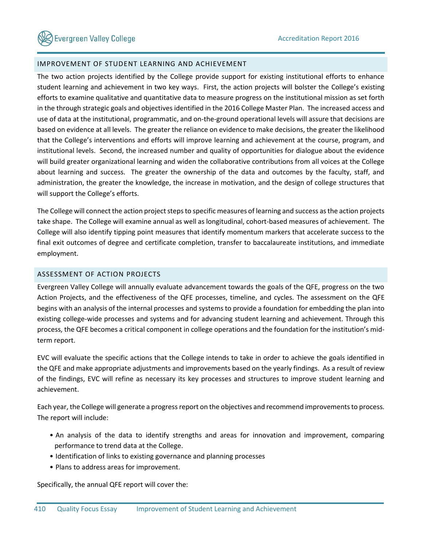## IMPROVEMENT OF STUDENT LEARNING AND ACHIEVEMENT

The two action projects identified by the College provide support for existing institutional efforts to enhance student learning and achievement in two key ways. First, the action projects will bolster the College's existing efforts to examine qualitative and quantitative data to measure progress on the institutional mission as set forth in the through strategic goals and objectives identified in the 2016 College Master Plan. The increased access and use of data at the institutional, programmatic, and on-the-ground operational levels will assure that decisions are based on evidence at all levels. The greater the reliance on evidence to make decisions, the greater the likelihood that the College's interventions and efforts will improve learning and achievement at the course, program, and institutional levels. Second, the increased number and quality of opportunities for dialogue about the evidence will build greater organizational learning and widen the collaborative contributions from all voices at the College about learning and success. The greater the ownership of the data and outcomes by the faculty, staff, and administration, the greater the knowledge, the increase in motivation, and the design of college structures that will support the College's efforts.

The College will connect the action project steps to specific measures of learning and success as the action projects take shape. The College will examine annual as well as longitudinal, cohort-based measures of achievement. The College will also identify tipping point measures that identify momentum markers that accelerate success to the final exit outcomes of degree and certificate completion, transfer to baccalaureate institutions, and immediate employment.

# ASSESSMENT OF ACTION PROJECTS

Evergreen Valley College will annually evaluate advancement towards the goals of the QFE, progress on the two Action Projects, and the effectiveness of the QFE processes, timeline, and cycles. The assessment on the QFE begins with an analysis of the internal processes and systems to provide a foundation for embedding the plan into existing college-wide processes and systems and for advancing student learning and achievement. Through this process, the QFE becomes a critical component in college operations and the foundation for the institution's midterm report.

EVC will evaluate the specific actions that the College intends to take in order to achieve the goals identified in the QFE and make appropriate adjustments and improvements based on the yearly findings. As a result of review of the findings, EVC will refine as necessary its key processes and structures to improve student learning and achievement.

Each year, the College will generate a progress report on the objectives and recommend improvements to process. The report will include:

- An analysis of the data to identify strengths and areas for innovation and improvement, comparing performance to trend data at the College.
- Identification of links to existing governance and planning processes
- Plans to address areas for improvement.

Specifically, the annual QFE report will cover the: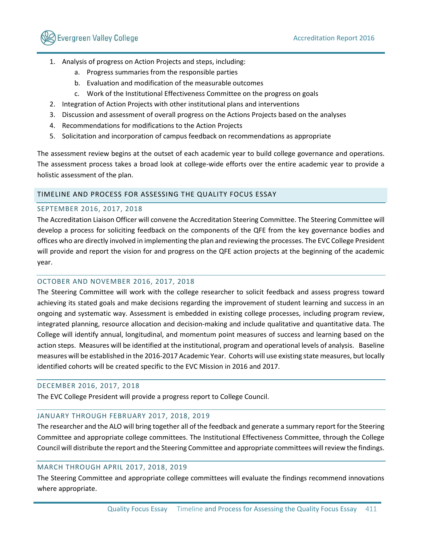

- 1. Analysis of progress on Action Projects and steps, including:
	- a. Progress summaries from the responsible parties
	- b. Evaluation and modification of the measurable outcomes
	- c. Work of the Institutional Effectiveness Committee on the progress on goals
- 2. Integration of Action Projects with other institutional plans and interventions
- 3. Discussion and assessment of overall progress on the Actions Projects based on the analyses
- 4. Recommendations for modifications to the Action Projects
- 5. Solicitation and incorporation of campus feedback on recommendations as appropriate

The assessment review begins at the outset of each academic year to build college governance and operations. The assessment process takes a broad look at college-wide efforts over the entire academic year to provide a holistic assessment of the plan.

## TIMELINE AND PROCESS FOR ASSESSING THE QUALITY FOCUS ESSAY

### SEPTEMBER 2016, 2017, 2018

The Accreditation Liaison Officer will convene the Accreditation Steering Committee. The Steering Committee will develop a process for soliciting feedback on the components of the QFE from the key governance bodies and offices who are directly involved in implementing the plan and reviewing the processes. The EVC College President will provide and report the vision for and progress on the QFE action projects at the beginning of the academic year.

### OCTOBER AND NOVEMBER 2016, 2017, 2018

The Steering Committee will work with the college researcher to solicit feedback and assess progress toward achieving its stated goals and make decisions regarding the improvement of student learning and success in an ongoing and systematic way. Assessment is embedded in existing college processes, including program review, integrated planning, resource allocation and decision-making and include qualitative and quantitative data. The College will identify annual, longitudinal, and momentum point measures of success and learning based on the action steps. Measures will be identified at the institutional, program and operational levels of analysis. Baseline measures will be established in the 2016-2017 Academic Year. Cohorts will use existing state measures, but locally identified cohorts will be created specific to the EVC Mission in 2016 and 2017.

## DECEMBER 2016, 2017, 2018

The EVC College President will provide a progress report to College Council.

### JANUARY THROUGH FEBRUARY 2017, 2018, 2019

The researcher and the ALO will bring together all of the feedback and generate a summary report for the Steering Committee and appropriate college committees. The Institutional Effectiveness Committee, through the College Council will distribute the report and the Steering Committee and appropriate committees will review the findings.

### MARCH THROUGH APRIL 2017, 2018, 2019

The Steering Committee and appropriate college committees will evaluate the findings recommend innovations where appropriate.